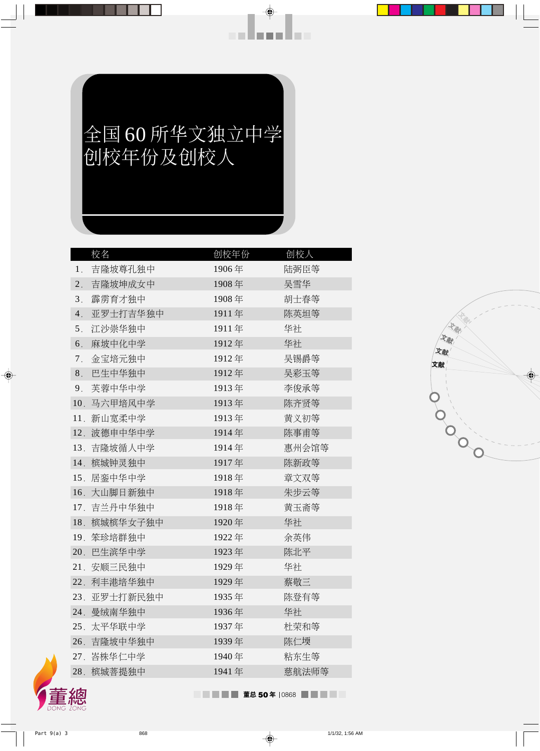## 全国60所华文独立中学 创校年份及创校人

an Bana Bara

|                | 校名           | 创校年份  | 创校人   |
|----------------|--------------|-------|-------|
| 1.             | 吉隆坡尊孔独中      | 1906年 | 陆弼臣等  |
| 2.             | 吉隆坡坤成女中      | 1908年 | 吴雪华   |
| 3 <sub>1</sub> | 霹雳育才独中       | 1908年 | 胡士春等  |
| 4.             | 亚罗士打吉华独中     | 1911年 | 陈英坦等  |
| 5 <sub>1</sub> | 江沙崇华独中       | 1911年 | 华社    |
| 6.             | 麻坡中化中学       | 1912年 | 华社    |
| $7_{.}$        | 金宝培元独中       | 1912年 | 吴锡爵等  |
| 8.             | 巴生中华独中       | 1912年 | 吴彩玉等  |
| 9.             | 芙蓉中华中学       | 1913年 | 李俊承等  |
| 10.            | 马六甲培风中学      | 1913年 | 陈齐贤等  |
| 11.            | 新山宽柔中学       | 1913年 | 黄义初等  |
| 12.            | 波德申中华中学      | 1914年 | 陈事甫等  |
|                | 13. 吉隆坡循人中学  | 1914年 | 惠州会馆等 |
| 14.            | 槟城钟灵独中       | 1917年 | 陈新政等  |
|                | 15. 居銮中华中学   | 1918年 | 章文双等  |
| 16.            | 大山脚日新独中      | 1918年 | 朱步云等  |
|                | 17. 吉兰丹中华独中  | 1918年 | 黄玉斋等  |
| 18.            | 槟城槟华女子独中     | 1920年 | 华社    |
| 19.            | 笨珍培群独中       | 1922年 | 余英伟   |
|                | 20. 巴生滨华中学   | 1923年 | 陈北平   |
|                | 21. 安顺三民独中   | 1929年 | 华社    |
|                | 22. 利丰港培华独中  | 1929年 | 蔡敬三   |
|                | 23. 亚罗士打新民独中 | 1935年 | 陈登有等  |
| 24.            | 曼绒南华独中       | 1936年 | 华社    |
|                | 25. 太平华联中学   | 1937年 | 杜荣和等  |
|                | 26. 吉隆坡中华独中  | 1939年 | 陈仁堧   |
|                | 27. 峇株华仁中学   | 1940年 | 粘东生等  |
|                | 28. 槟城菩提独中   | 1941年 | 慈航法师等 |
|                |              |       |       |